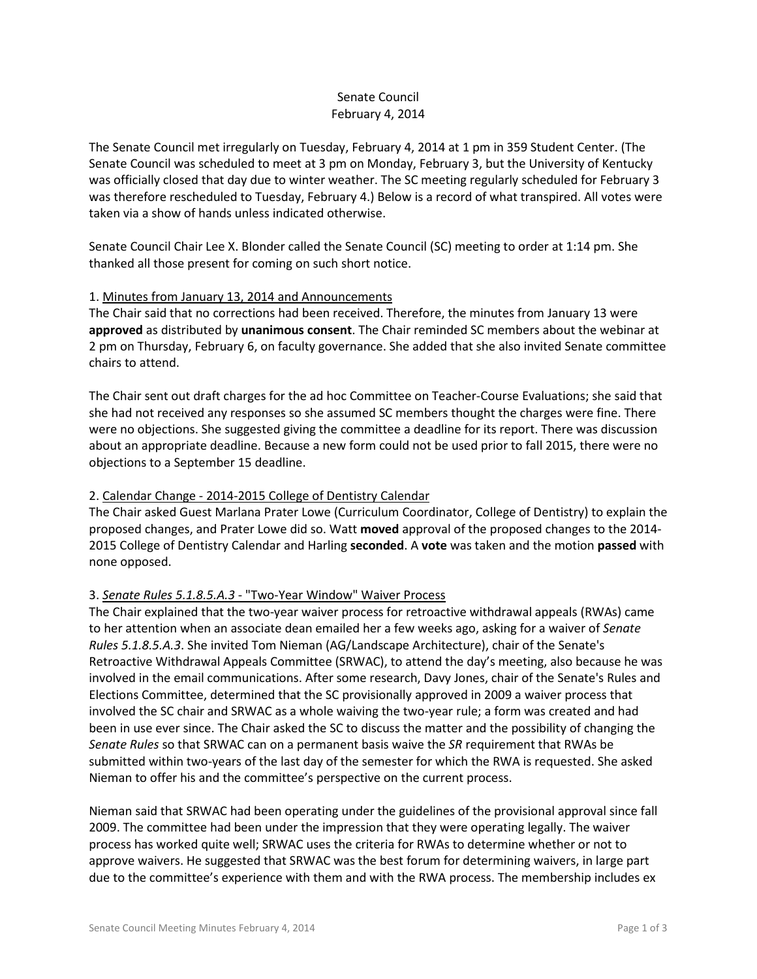## Senate Council February 4, 2014

The Senate Council met irregularly on Tuesday, February 4, 2014 at 1 pm in 359 Student Center. (The Senate Council was scheduled to meet at 3 pm on Monday, February 3, but the University of Kentucky was officially closed that day due to winter weather. The SC meeting regularly scheduled for February 3 was therefore rescheduled to Tuesday, February 4.) Below is a record of what transpired. All votes were taken via a show of hands unless indicated otherwise.

Senate Council Chair Lee X. Blonder called the Senate Council (SC) meeting to order at 1:14 pm. She thanked all those present for coming on such short notice.

### 1. Minutes from January 13, 2014 and Announcements

The Chair said that no corrections had been received. Therefore, the minutes from January 13 were **approved** as distributed by **unanimous consent**. The Chair reminded SC members about the webinar at 2 pm on Thursday, February 6, on faculty governance. She added that she also invited Senate committee chairs to attend.

The Chair sent out draft charges for the ad hoc Committee on Teacher-Course Evaluations; she said that she had not received any responses so she assumed SC members thought the charges were fine. There were no objections. She suggested giving the committee a deadline for its report. There was discussion about an appropriate deadline. Because a new form could not be used prior to fall 2015, there were no objections to a September 15 deadline.

### 2. Calendar Change - 2014-2015 College of Dentistry Calendar

The Chair asked Guest Marlana Prater Lowe (Curriculum Coordinator, College of Dentistry) to explain the proposed changes, and Prater Lowe did so. Watt **moved** approval of the proposed changes to the 2014- 2015 College of Dentistry Calendar and Harling **seconded**. A **vote** was taken and the motion **passed** with none opposed.

### 3. *Senate Rules 5.1.8.5.A.3* - "Two-Year Window" Waiver Process

The Chair explained that the two-year waiver process for retroactive withdrawal appeals (RWAs) came to her attention when an associate dean emailed her a few weeks ago, asking for a waiver of *Senate Rules 5.1.8.5.A.3*. She invited Tom Nieman (AG/Landscape Architecture), chair of the Senate's Retroactive Withdrawal Appeals Committee (SRWAC), to attend the day's meeting, also because he was involved in the email communications. After some research, Davy Jones, chair of the Senate's Rules and Elections Committee, determined that the SC provisionally approved in 2009 a waiver process that involved the SC chair and SRWAC as a whole waiving the two-year rule; a form was created and had been in use ever since. The Chair asked the SC to discuss the matter and the possibility of changing the *Senate Rules* so that SRWAC can on a permanent basis waive the *SR* requirement that RWAs be submitted within two-years of the last day of the semester for which the RWA is requested. She asked Nieman to offer his and the committee's perspective on the current process.

Nieman said that SRWAC had been operating under the guidelines of the provisional approval since fall 2009. The committee had been under the impression that they were operating legally. The waiver process has worked quite well; SRWAC uses the criteria for RWAs to determine whether or not to approve waivers. He suggested that SRWAC was the best forum for determining waivers, in large part due to the committee's experience with them and with the RWA process. The membership includes ex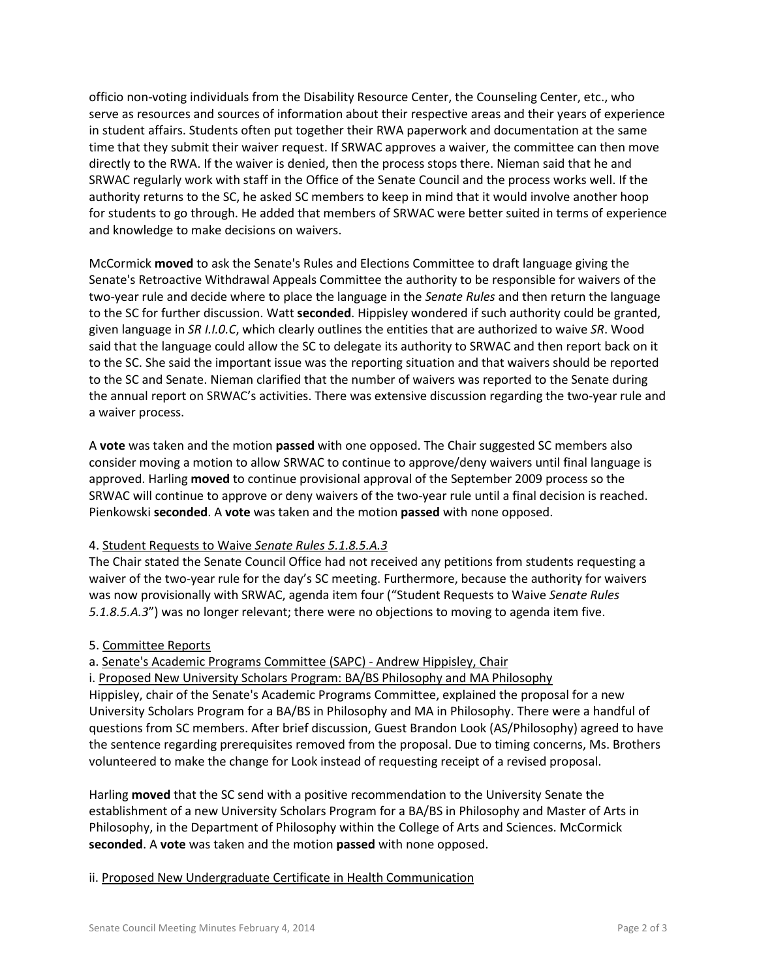officio non-voting individuals from the Disability Resource Center, the Counseling Center, etc., who serve as resources and sources of information about their respective areas and their years of experience in student affairs. Students often put together their RWA paperwork and documentation at the same time that they submit their waiver request. If SRWAC approves a waiver, the committee can then move directly to the RWA. If the waiver is denied, then the process stops there. Nieman said that he and SRWAC regularly work with staff in the Office of the Senate Council and the process works well. If the authority returns to the SC, he asked SC members to keep in mind that it would involve another hoop for students to go through. He added that members of SRWAC were better suited in terms of experience and knowledge to make decisions on waivers.

McCormick **moved** to ask the Senate's Rules and Elections Committee to draft language giving the Senate's Retroactive Withdrawal Appeals Committee the authority to be responsible for waivers of the two-year rule and decide where to place the language in the *Senate Rules* and then return the language to the SC for further discussion. Watt **seconded**. Hippisley wondered if such authority could be granted, given language in *SR I.I.0.C*, which clearly outlines the entities that are authorized to waive *SR*. Wood said that the language could allow the SC to delegate its authority to SRWAC and then report back on it to the SC. She said the important issue was the reporting situation and that waivers should be reported to the SC and Senate. Nieman clarified that the number of waivers was reported to the Senate during the annual report on SRWAC's activities. There was extensive discussion regarding the two-year rule and a waiver process.

A **vote** was taken and the motion **passed** with one opposed. The Chair suggested SC members also consider moving a motion to allow SRWAC to continue to approve/deny waivers until final language is approved. Harling **moved** to continue provisional approval of the September 2009 process so the SRWAC will continue to approve or deny waivers of the two-year rule until a final decision is reached. Pienkowski **seconded**. A **vote** was taken and the motion **passed** with none opposed.

### 4. Student Requests to Waive *Senate Rules 5.1.8.5.A.3*

The Chair stated the Senate Council Office had not received any petitions from students requesting a waiver of the two-year rule for the day's SC meeting. Furthermore, because the authority for waivers was now provisionally with SRWAC, agenda item four ("Student Requests to Waive *Senate Rules 5.1.8.5.A.3*") was no longer relevant; there were no objections to moving to agenda item five.

### 5. Committee Reports

# a. Senate's Academic Programs Committee (SAPC) - Andrew Hippisley, Chair

i. Proposed New University Scholars Program: BA/BS Philosophy and MA Philosophy Hippisley, chair of the Senate's Academic Programs Committee, explained the proposal for a new University Scholars Program for a BA/BS in Philosophy and MA in Philosophy. There were a handful of questions from SC members. After brief discussion, Guest Brandon Look (AS/Philosophy) agreed to have the sentence regarding prerequisites removed from the proposal. Due to timing concerns, Ms. Brothers volunteered to make the change for Look instead of requesting receipt of a revised proposal.

Harling **moved** that the SC send with a positive recommendation to the University Senate the establishment of a new University Scholars Program for a BA/BS in Philosophy and Master of Arts in Philosophy, in the Department of Philosophy within the College of Arts and Sciences. McCormick **seconded**. A **vote** was taken and the motion **passed** with none opposed.

# ii. Proposed New Undergraduate Certificate in Health Communication